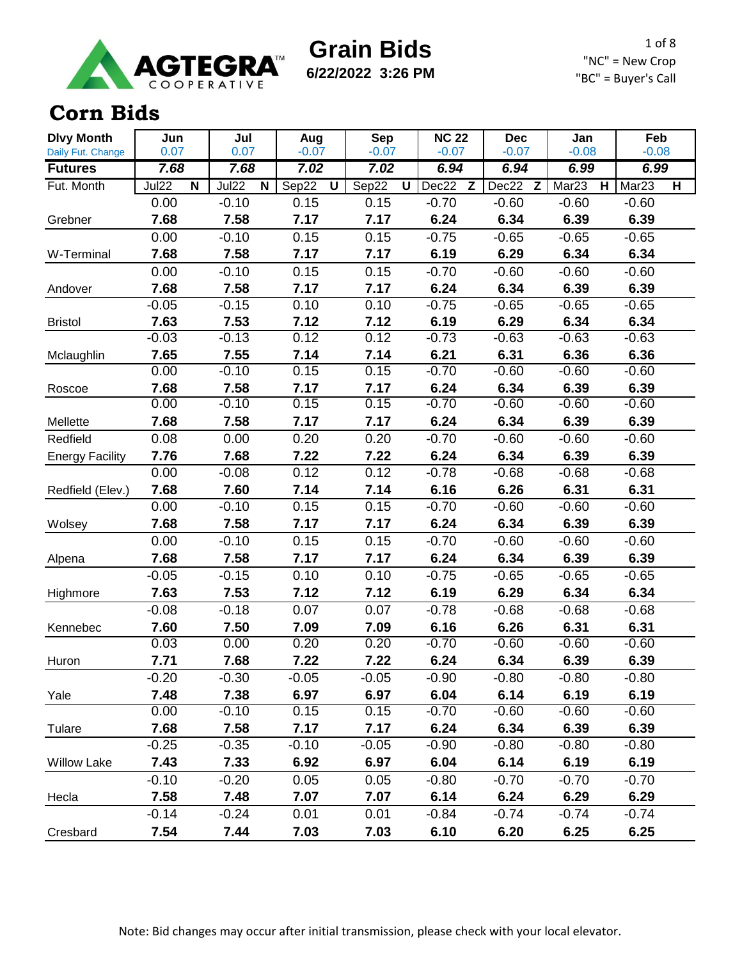

**6/22/2022 3:26 PM**

1 of 8 "NC" = New Crop "BC" = Buyer's Call

#### **Corn Bids**

| <b>Dlvy Month</b>                   | Jun                                     | Jul          | Aug             | Sep             | <b>NC 22</b>    | <b>Dec</b>      | Jan                    | Feb<br>$-0.08$                               |  |
|-------------------------------------|-----------------------------------------|--------------|-----------------|-----------------|-----------------|-----------------|------------------------|----------------------------------------------|--|
| Daily Fut. Change<br><b>Futures</b> | 0.07<br>7.68                            | 0.07<br>7.68 | $-0.07$<br>7.02 | $-0.07$<br>7.02 | $-0.07$<br>6.94 | $-0.07$<br>6.94 | $-0.08$<br>6.99        | 6.99                                         |  |
| Fut. Month                          | <b>Jul22</b><br>$\overline{\mathsf{N}}$ | Jul22<br>N   | Sep22<br>U      | Sep22<br>U      | Dec22<br>Z      | Dec22<br>Z      | Mar <sub>23</sub><br>н | Mar <sub>23</sub><br>$\overline{\mathsf{H}}$ |  |
|                                     | 0.00                                    | $-0.10$      | 0.15            | 0.15            | $-0.70$         | $-0.60$         | $-0.60$                | $-0.60$                                      |  |
| Grebner                             | 7.68                                    | 7.58         | 7.17            | 7.17            | 6.24            | 6.34            | 6.39                   | 6.39                                         |  |
|                                     | 0.00                                    | $-0.10$      | 0.15            | 0.15            | $-0.75$         | $-0.65$         | $-0.65$                | $-0.65$                                      |  |
| W-Terminal                          | 7.68                                    | 7.58         | 7.17            | 7.17            | 6.19            | 6.29            | 6.34                   | 6.34                                         |  |
|                                     | 0.00                                    | $-0.10$      | 0.15            | 0.15            | $-0.70$         | $-0.60$         | $-0.60$                | $-0.60$                                      |  |
| Andover                             | 7.68                                    | 7.58         | 7.17            | 7.17            | 6.24            | 6.34            | 6.39                   | 6.39                                         |  |
|                                     | $-0.05$                                 | $-0.15$      | 0.10            | 0.10            | $-0.75$         | $-0.65$         | $-0.65$                | $-0.65$                                      |  |
| <b>Bristol</b>                      | 7.63                                    | 7.53         | 7.12            | 7.12            | 6.19            | 6.29            | 6.34                   | 6.34                                         |  |
|                                     | $-0.03$                                 | $-0.13$      | 0.12            | 0.12            | $-0.73$         | $-0.63$         | $-0.63$                | $-0.63$                                      |  |
| Mclaughlin                          | 7.65                                    | 7.55         | 7.14            | 7.14            | 6.21            | 6.31            | 6.36                   | 6.36                                         |  |
|                                     | 0.00                                    | $-0.10$      | 0.15            | 0.15            | $-0.70$         | $-0.60$         | $-0.60$                | $-0.60$                                      |  |
| Roscoe                              | 7.68                                    | 7.58         | 7.17            | 7.17            | 6.24            | 6.34            | 6.39                   | 6.39                                         |  |
|                                     | 0.00                                    | $-0.10$      | 0.15            | 0.15            | $-0.70$         | $-0.60$         | $-0.60$                | $-0.60$                                      |  |
| Mellette                            | 7.68                                    | 7.58         | 7.17            | 7.17            | 6.24            | 6.34            | 6.39                   | 6.39                                         |  |
| Redfield                            | 0.08                                    | 0.00         | 0.20            | 0.20            | $-0.70$         | $-0.60$         | $-0.60$                | $-0.60$                                      |  |
| <b>Energy Facility</b>              | 7.76                                    | 7.68         | 7.22            | 7.22            | 6.24            | 6.34            | 6.39                   | 6.39                                         |  |
|                                     | 0.00                                    | $-0.08$      | 0.12            | 0.12            | $-0.78$         | $-0.68$         | $-0.68$                | $-0.68$                                      |  |
| Redfield (Elev.)                    | 7.68                                    | 7.60         | 7.14            | 7.14            | 6.16            | 6.26            | 6.31                   | 6.31                                         |  |
|                                     | 0.00                                    | $-0.10$      | 0.15            | 0.15            | $-0.70$         | $-0.60$         | $-0.60$                | $-0.60$                                      |  |
| Wolsey                              | 7.68                                    | 7.58         | 7.17            | 7.17            | 6.24            | 6.34            | 6.39                   | 6.39                                         |  |
|                                     | 0.00                                    | $-0.10$      | 0.15            | 0.15            | $-0.70$         | $-0.60$         | $-0.60$                | $-0.60$                                      |  |
| Alpena                              | 7.68                                    | 7.58         | 7.17            | 7.17            | 6.24            | 6.34            | 6.39                   | 6.39                                         |  |
|                                     | $-0.05$                                 | $-0.15$      | 0.10            | 0.10            | $-0.75$         | $-0.65$         | $-0.65$                | $-0.65$                                      |  |
| Highmore                            | 7.63                                    | 7.53         | 7.12            | 7.12            | 6.19            | 6.29            | 6.34                   | 6.34                                         |  |
|                                     | $-0.08$                                 | $-0.18$      | 0.07            | 0.07            | $-0.78$         | $-0.68$         | $-0.68$                | $-0.68$                                      |  |
| Kennebec                            | 7.60                                    | 7.50         | 7.09            | 7.09            | 6.16            | 6.26            | 6.31                   | 6.31                                         |  |
|                                     | 0.03                                    | 0.00         | 0.20            | 0.20            | $-0.70$         | $-0.60$         | $-0.60$                | $-0.60$                                      |  |
| Huron                               | 7.71                                    | 7.68         | 7.22            | 7.22            | 6.24            | 6.34            | 6.39                   | 6.39                                         |  |
|                                     | $-0.20$                                 | $-0.30$      | $-0.05$         | $-0.05$         | $-0.90$         | $-0.80$         | $-0.80$                | $-0.80$                                      |  |
| Yale                                | 7.48                                    | 7.38         | 6.97            | 6.97            | 6.04            | 6.14            | 6.19                   | 6.19                                         |  |
|                                     | 0.00                                    | $-0.10$      | 0.15            | 0.15            | $-0.70$         | $-0.60$         | $-0.60$                | $-0.60$                                      |  |
| Tulare                              | 7.68                                    | 7.58         | 7.17            | 7.17            | 6.24            | 6.34            | 6.39                   | 6.39                                         |  |
|                                     | $-0.25$                                 | $-0.35$      | $-0.10$         | $-0.05$         | $-0.90$         | $-0.80$         | $-0.80$                | $-0.80$                                      |  |
| <b>Willow Lake</b>                  | 7.43                                    | 7.33         | 6.92            | 6.97            | 6.04            | 6.14            | 6.19                   | 6.19                                         |  |
|                                     | $-0.10$                                 | $-0.20$      | 0.05            | 0.05            | $-0.80$         | $-0.70$         | $-0.70$                | $-0.70$                                      |  |
| Hecla                               | 7.58                                    | 7.48         | 7.07            | 7.07            | 6.14            | 6.24            | 6.29                   | 6.29                                         |  |
|                                     | $-0.14$                                 | $-0.24$      | 0.01            | 0.01            | $-0.84$         | $-0.74$         | $-0.74$                | $-0.74$                                      |  |
| Cresbard                            | 7.54                                    | 7.44         | 7.03            | 7.03            | 6.10            | 6.20            | 6.25                   | 6.25                                         |  |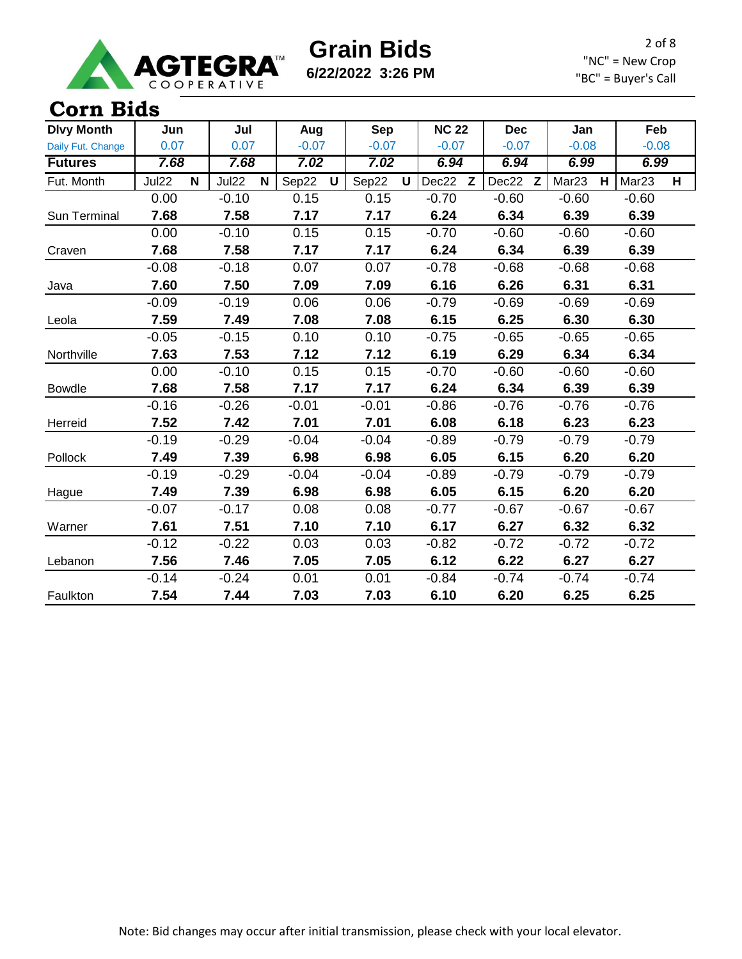

**6/22/2022 3:26 PM**

2 of 8 "NC" = New Crop "BC" = Buyer's Call

#### **Corn Bids**

| <b>Dlvy Month</b> | Jun        | Jul        | Aug                   | <b>Sep</b>           | <b>NC 22</b> | <b>Dec</b> | Jan                    | Feb                    |
|-------------------|------------|------------|-----------------------|----------------------|--------------|------------|------------------------|------------------------|
| Daily Fut. Change | 0.07       | 0.07       | $-0.07$               | $-0.07$              | $-0.07$      | $-0.07$    | $-0.08$                | $-0.08$                |
| <b>Futures</b>    | 7.68       | 7.68       | 7.02                  | 7.02                 | 6.94         | 6.94       | 6.99                   | 6.99                   |
| Fut. Month        | Jul22<br>N | Jul22<br>N | Sep22<br>$\mathsf{U}$ | Sep22<br>$\mathbf U$ | Dec22 Z      | Dec22 Z    | Mar <sub>23</sub><br>H | Mar <sub>23</sub><br>H |
|                   | 0.00       | $-0.10$    | 0.15                  | 0.15                 | $-0.70$      | $-0.60$    | $-0.60$                | $-0.60$                |
| Sun Terminal      | 7.68       | 7.58       | 7.17                  | 7.17                 | 6.24         | 6.34       | 6.39                   | 6.39                   |
|                   | 0.00       | $-0.10$    | 0.15                  | 0.15                 | $-0.70$      | $-0.60$    | $-0.60$                | $-0.60$                |
| Craven            | 7.68       | 7.58       | 7.17                  | 7.17                 | 6.24         | 6.34       | 6.39                   | 6.39                   |
|                   | $-0.08$    | $-0.18$    | 0.07                  | 0.07                 | $-0.78$      | $-0.68$    | $-0.68$                | $-0.68$                |
| Java              | 7.60       | 7.50       | 7.09                  | 7.09                 | 6.16         | 6.26       | 6.31                   | 6.31                   |
|                   | $-0.09$    | $-0.19$    | 0.06                  | 0.06                 | $-0.79$      | $-0.69$    | $-0.69$                | $-0.69$                |
| Leola             | 7.59       | 7.49       | 7.08                  | 7.08                 | 6.15         | 6.25       | 6.30                   | 6.30                   |
|                   | $-0.05$    | $-0.15$    | 0.10                  | 0.10                 | $-0.75$      | $-0.65$    | $-0.65$                | $-0.65$                |
| Northville        | 7.63       | 7.53       | 7.12                  | 7.12                 | 6.19         | 6.29       | 6.34                   | 6.34                   |
|                   | 0.00       | $-0.10$    | 0.15                  | 0.15                 | $-0.70$      | $-0.60$    | $-0.60$                | $-0.60$                |
| <b>Bowdle</b>     | 7.68       | 7.58       | 7.17                  | 7.17                 | 6.24         | 6.34       | 6.39                   | 6.39                   |
|                   | $-0.16$    | $-0.26$    | $-0.01$               | $-0.01$              | $-0.86$      | $-0.76$    | $-0.76$                | $-0.76$                |
| Herreid           | 7.52       | 7.42       | 7.01                  | 7.01                 | 6.08         | 6.18       | 6.23                   | 6.23                   |
|                   | $-0.19$    | $-0.29$    | $-0.04$               | $-0.04$              | $-0.89$      | $-0.79$    | $-0.79$                | $-0.79$                |
| Pollock           | 7.49       | 7.39       | 6.98                  | 6.98                 | 6.05         | 6.15       | 6.20                   | 6.20                   |
|                   | $-0.19$    | $-0.29$    | $-0.04$               | $-0.04$              | $-0.89$      | $-0.79$    | $-0.79$                | $-0.79$                |
| Hague             | 7.49       | 7.39       | 6.98                  | 6.98                 | 6.05         | 6.15       | 6.20                   | 6.20                   |
|                   | $-0.07$    | $-0.17$    | 0.08                  | 0.08                 | $-0.77$      | $-0.67$    | $-0.67$                | $-0.67$                |
| Warner            | 7.61       | 7.51       | 7.10                  | 7.10                 | 6.17         | 6.27       | 6.32                   | 6.32                   |
|                   | $-0.12$    | $-0.22$    | 0.03                  | 0.03                 | $-0.82$      | $-0.72$    | $-0.72$                | $-0.72$                |
| Lebanon           | 7.56       | 7.46       | 7.05                  | 7.05                 | 6.12         | 6.22       | 6.27                   | 6.27                   |
|                   | $-0.14$    | $-0.24$    | 0.01                  | 0.01                 | $-0.84$      | $-0.74$    | $-0.74$                | $-0.74$                |
| Faulkton          | 7.54       | 7.44       | 7.03                  | 7.03                 | 6.10         | 6.20       | 6.25                   | 6.25                   |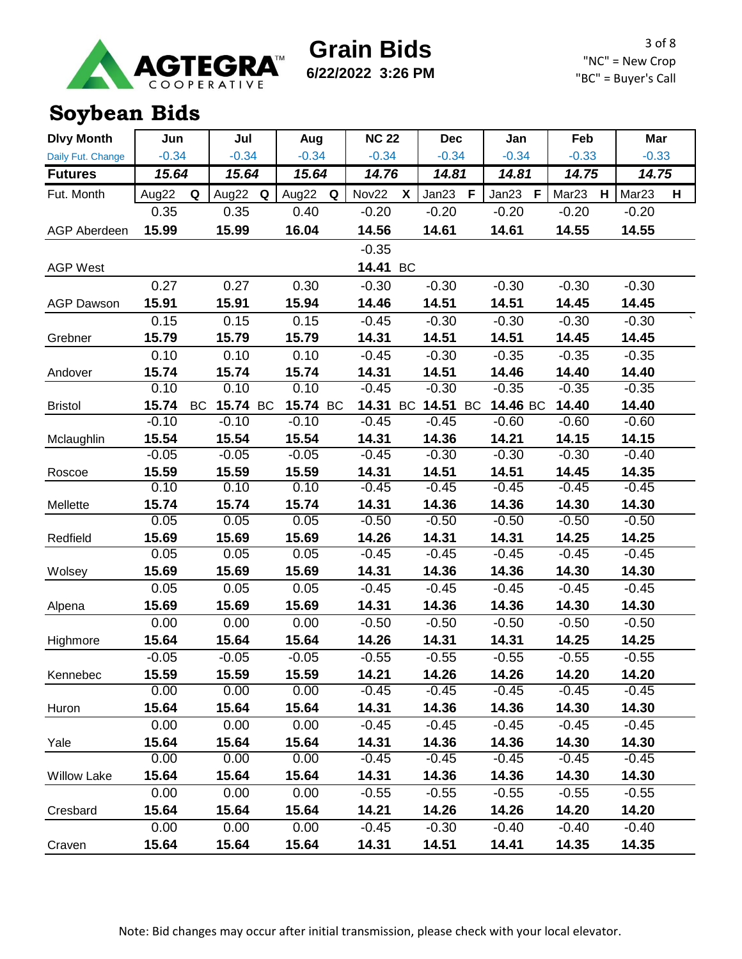

**6/22/2022 3:26 PM**

3 of 8 "NC" = New Crop "BC" = Buyer's Call

### **Soybean Bids**

| <b>Dlvy Month</b>   | Jun     |           | Jul      |   | Aug      |   | <b>NC 22</b> |           | <b>Dec</b> |           | Jan                  | Feb               |   | Mar               |   |
|---------------------|---------|-----------|----------|---|----------|---|--------------|-----------|------------|-----------|----------------------|-------------------|---|-------------------|---|
| Daily Fut. Change   | $-0.34$ |           | $-0.34$  |   | $-0.34$  |   | $-0.34$      |           | $-0.34$    |           | $-0.34$              | $-0.33$           |   | $-0.33$           |   |
| <b>Futures</b>      | 15.64   |           | 15.64    |   | 15.64    |   | 14.76        |           | 14.81      |           | 14.81                | 14.75             |   | 14.75             |   |
| Fut. Month          | Aug22   | Q         | Aug22    | Q | Aug22    | Q | Nov22        | X         | Jan23      | F         | Jan23<br>$\mathsf F$ | Mar <sub>23</sub> | H | Mar <sub>23</sub> | н |
|                     | 0.35    |           | 0.35     |   | 0.40     |   | $-0.20$      |           | $-0.20$    |           | $-0.20$              | $-0.20$           |   | $-0.20$           |   |
| <b>AGP Aberdeen</b> | 15.99   |           | 15.99    |   | 16.04    |   | 14.56        |           | 14.61      |           | 14.61                | 14.55             |   | 14.55             |   |
|                     |         |           |          |   |          |   | $-0.35$      |           |            |           |                      |                   |   |                   |   |
| <b>AGP West</b>     |         |           |          |   |          |   | 14.41 BC     |           |            |           |                      |                   |   |                   |   |
|                     | 0.27    |           | 0.27     |   | 0.30     |   | $-0.30$      |           | $-0.30$    |           | $-0.30$              | $-0.30$           |   | $-0.30$           |   |
| <b>AGP Dawson</b>   | 15.91   |           | 15.91    |   | 15.94    |   | 14.46        |           | 14.51      |           | 14.51                | 14.45             |   | 14.45             |   |
|                     | 0.15    |           | 0.15     |   | 0.15     |   | $-0.45$      |           | $-0.30$    |           | $-0.30$              | $-0.30$           |   | $-0.30$           |   |
| Grebner             | 15.79   |           | 15.79    |   | 15.79    |   | 14.31        |           | 14.51      |           | 14.51                | 14.45             |   | 14.45             |   |
|                     | 0.10    |           | 0.10     |   | 0.10     |   | $-0.45$      |           | $-0.30$    |           | $-0.35$              | $-0.35$           |   | $-0.35$           |   |
| Andover             | 15.74   |           | 15.74    |   | 15.74    |   | 14.31        |           | 14.51      |           | 14.46                | 14.40             |   | 14.40             |   |
|                     | 0.10    |           | 0.10     |   | 0.10     |   | $-0.45$      |           | $-0.30$    |           | $-0.35$              | $-0.35$           |   | $-0.35$           |   |
| <b>Bristol</b>      | 15.74   | <b>BC</b> | 15.74 BC |   | 15.74 BC |   | 14.31        | <b>BC</b> | 14.51      | <b>BC</b> | 14.46 BC             | 14.40             |   | 14.40             |   |
|                     | $-0.10$ |           | $-0.10$  |   | $-0.10$  |   | $-0.45$      |           | $-0.45$    |           | $-0.60$              | $-0.60$           |   | $-0.60$           |   |
| Mclaughlin          | 15.54   |           | 15.54    |   | 15.54    |   | 14.31        |           | 14.36      |           | 14.21                | 14.15             |   | 14.15             |   |
|                     | $-0.05$ |           | $-0.05$  |   | $-0.05$  |   | $-0.45$      |           | $-0.30$    |           | $-0.30$              | $-0.30$           |   | $-0.40$           |   |
| Roscoe              | 15.59   |           | 15.59    |   | 15.59    |   | 14.31        |           | 14.51      |           | 14.51                | 14.45             |   | 14.35             |   |
|                     | 0.10    |           | 0.10     |   | 0.10     |   | $-0.45$      |           | $-0.45$    |           | $-0.45$              | $-0.45$           |   | $-0.45$           |   |
| Mellette            | 15.74   |           | 15.74    |   | 15.74    |   | 14.31        |           | 14.36      |           | 14.36                | 14.30             |   | 14.30             |   |
|                     | 0.05    |           | 0.05     |   | 0.05     |   | $-0.50$      |           | $-0.50$    |           | $-0.50$              | $-0.50$           |   | $-0.50$           |   |
| Redfield            | 15.69   |           | 15.69    |   | 15.69    |   | 14.26        |           | 14.31      |           | 14.31                | 14.25             |   | 14.25             |   |
|                     | 0.05    |           | 0.05     |   | 0.05     |   | $-0.45$      |           | $-0.45$    |           | $-0.45$              | $-0.45$           |   | $-0.45$           |   |
| Wolsey              | 15.69   |           | 15.69    |   | 15.69    |   | 14.31        |           | 14.36      |           | 14.36                | 14.30             |   | 14.30             |   |
|                     | 0.05    |           | 0.05     |   | 0.05     |   | $-0.45$      |           | $-0.45$    |           | $-0.45$              | $-0.45$           |   | $-0.45$           |   |
| Alpena              | 15.69   |           | 15.69    |   | 15.69    |   | 14.31        |           | 14.36      |           | 14.36                | 14.30             |   | 14.30             |   |
|                     | 0.00    |           | 0.00     |   | 0.00     |   | $-0.50$      |           | $-0.50$    |           | $-0.50$              | $-0.50$           |   | $-0.50$           |   |
| Highmore            | 15.64   |           | 15.64    |   | 15.64    |   | 14.26        |           | 14.31      |           | 14.31                | 14.25             |   | 14.25             |   |
|                     | $-0.05$ |           | $-0.05$  |   | $-0.05$  |   | $-0.55$      |           | $-0.55$    |           | $-0.55$              | $-0.55$           |   | $-0.55$           |   |
| Kennebec            | 15.59   |           | 15.59    |   | 15.59    |   | 14.21        |           | 14.26      |           | 14.26                | 14.20             |   | 14.20             |   |
|                     | 0.00    |           | 0.00     |   | 0.00     |   | $-0.45$      |           | $-0.45$    |           | $-0.45$              | $-0.45$           |   | $-0.45$           |   |
| Huron               | 15.64   |           | 15.64    |   | 15.64    |   | 14.31        |           | 14.36      |           | 14.36                | 14.30             |   | 14.30             |   |
|                     | 0.00    |           | 0.00     |   | 0.00     |   | $-0.45$      |           | $-0.45$    |           | $-0.45$              | $-0.45$           |   | $-0.45$           |   |
| Yale                | 15.64   |           | 15.64    |   | 15.64    |   | 14.31        |           | 14.36      |           | 14.36                | 14.30             |   | 14.30             |   |
|                     | 0.00    |           | 0.00     |   | 0.00     |   | $-0.45$      |           | $-0.45$    |           | $-0.45$              | $-0.45$           |   | $-0.45$           |   |
| <b>Willow Lake</b>  | 15.64   |           | 15.64    |   | 15.64    |   | 14.31        |           | 14.36      |           | 14.36                | 14.30             |   | 14.30             |   |
|                     | 0.00    |           | 0.00     |   | 0.00     |   | $-0.55$      |           | $-0.55$    |           | $-0.55$              | $-0.55$           |   | $-0.55$           |   |
| Cresbard            | 15.64   |           | 15.64    |   | 15.64    |   | 14.21        |           | 14.26      |           | 14.26                | 14.20             |   | 14.20             |   |
|                     | 0.00    |           | 0.00     |   | 0.00     |   | $-0.45$      |           | $-0.30$    |           | $-0.40$              | $-0.40$           |   | $-0.40$           |   |
| Craven              | 15.64   |           | 15.64    |   | 15.64    |   | 14.31        |           | 14.51      |           | 14.41                | 14.35             |   | 14.35             |   |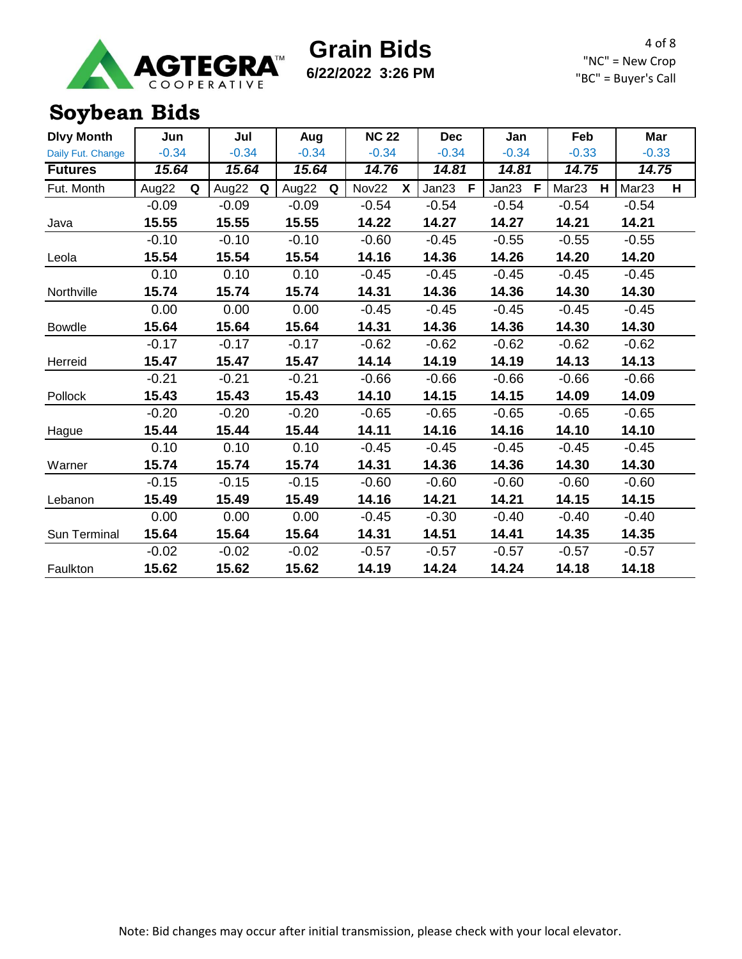

**6/22/2022 3:26 PM**

4 of 8 "NC" = New Crop "BC" = Buyer's Call

### **Soybean Bids**

| <b>Dlvy Month</b> | Jun        | Jul        | Aug        | <b>NC 22</b> | <b>Dec</b> | Jan        | Feb                    | Mar                    |
|-------------------|------------|------------|------------|--------------|------------|------------|------------------------|------------------------|
| Daily Fut. Change | $-0.34$    | $-0.34$    | $-0.34$    | $-0.34$      | $-0.34$    | $-0.34$    | $-0.33$                | $-0.33$                |
| <b>Futures</b>    | 15.64      | 15.64      | 15.64      | 14.76        | 14.81      | 14.81      | 14.75                  | 14.75                  |
| Fut. Month        | Aug22<br>Q | Aug22<br>Q | Aug22<br>Q | Nov22<br>X   | Jan23<br>F | Jan23<br>F | Mar <sub>23</sub><br>H | Mar <sub>23</sub><br>н |
|                   | $-0.09$    | $-0.09$    | $-0.09$    | $-0.54$      | $-0.54$    | $-0.54$    | $-0.54$                | $-0.54$                |
| Java              | 15.55      | 15.55      | 15.55      | 14.22        | 14.27      | 14.27      | 14.21                  | 14.21                  |
|                   | $-0.10$    | $-0.10$    | $-0.10$    | $-0.60$      | $-0.45$    | $-0.55$    | $-0.55$                | $-0.55$                |
| Leola             | 15.54      | 15.54      | 15.54      | 14.16        | 14.36      | 14.26      | 14.20                  | 14.20                  |
|                   | 0.10       | 0.10       | 0.10       | $-0.45$      | $-0.45$    | $-0.45$    | $-0.45$                | $-0.45$                |
| Northville        | 15.74      | 15.74      | 15.74      | 14.31        | 14.36      | 14.36      | 14.30                  | 14.30                  |
|                   | 0.00       | 0.00       | 0.00       | $-0.45$      | $-0.45$    | $-0.45$    | $-0.45$                | $-0.45$                |
| <b>Bowdle</b>     | 15.64      | 15.64      | 15.64      | 14.31        | 14.36      | 14.36      | 14.30                  | 14.30                  |
|                   | $-0.17$    | $-0.17$    | $-0.17$    | $-0.62$      | $-0.62$    | $-0.62$    | $-0.62$                | $-0.62$                |
| Herreid           | 15.47      | 15.47      | 15.47      | 14.14        | 14.19      | 14.19      | 14.13                  | 14.13                  |
|                   | $-0.21$    | $-0.21$    | $-0.21$    | $-0.66$      | $-0.66$    | $-0.66$    | $-0.66$                | $-0.66$                |
| Pollock           | 15.43      | 15.43      | 15.43      | 14.10        | 14.15      | 14.15      | 14.09                  | 14.09                  |
|                   | $-0.20$    | $-0.20$    | $-0.20$    | $-0.65$      | $-0.65$    | $-0.65$    | $-0.65$                | $-0.65$                |
| Hague             | 15.44      | 15.44      | 15.44      | 14.11        | 14.16      | 14.16      | 14.10                  | 14.10                  |
|                   | 0.10       | 0.10       | 0.10       | $-0.45$      | $-0.45$    | $-0.45$    | $-0.45$                | $-0.45$                |
| Warner            | 15.74      | 15.74      | 15.74      | 14.31        | 14.36      | 14.36      | 14.30                  | 14.30                  |
|                   | $-0.15$    | $-0.15$    | $-0.15$    | $-0.60$      | $-0.60$    | $-0.60$    | $-0.60$                | $-0.60$                |
| Lebanon           | 15.49      | 15.49      | 15.49      | 14.16        | 14.21      | 14.21      | 14.15                  | 14.15                  |
|                   | 0.00       | 0.00       | 0.00       | $-0.45$      | $-0.30$    | $-0.40$    | $-0.40$                | $-0.40$                |
| Sun Terminal      | 15.64      | 15.64      | 15.64      | 14.31        | 14.51      | 14.41      | 14.35                  | 14.35                  |
|                   | $-0.02$    | $-0.02$    | $-0.02$    | $-0.57$      | $-0.57$    | $-0.57$    | $-0.57$                | $-0.57$                |
| Faulkton          | 15.62      | 15.62      | 15.62      | 14.19        | 14.24      | 14.24      | 14.18                  | 14.18                  |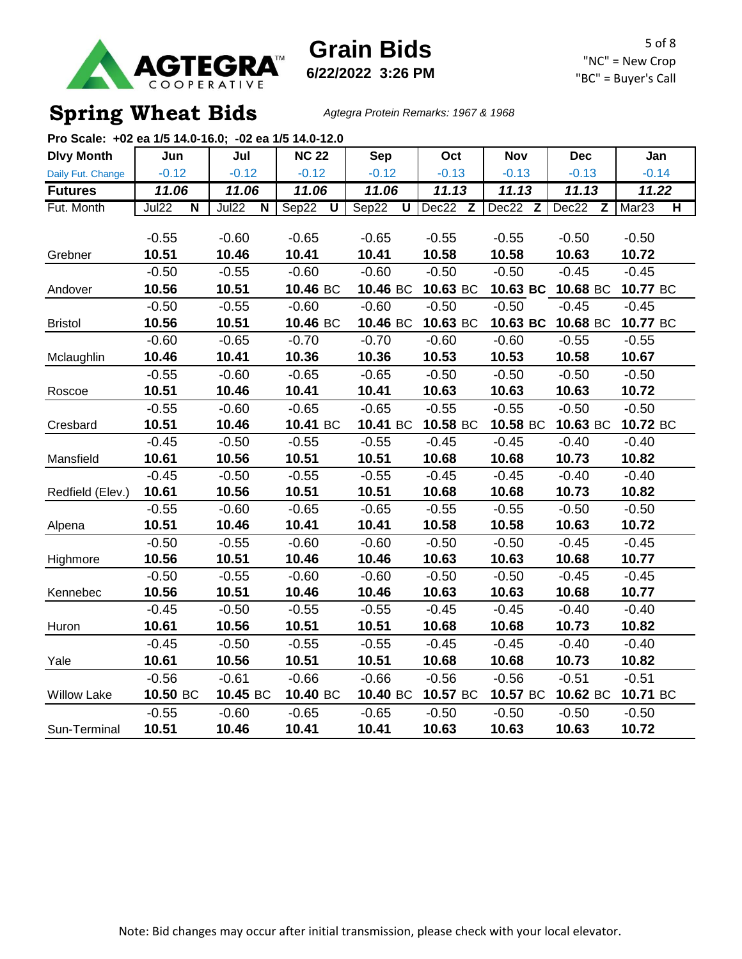

**Grain Bids 6/22/2022 3:26 PM**

5 of 8 "NC" = New Crop "BC" = Buyer's Call

### **Spring Wheat Bids** *Agtegra Protein Remarks: 1967 & 1968*

| Pro Scale: +02 ea 1/5 14.0-16.0; -02 ea 1/5 14.0-12.0 |                                         |                                  |                                  |                                  |          |            |                       |                                              |
|-------------------------------------------------------|-----------------------------------------|----------------------------------|----------------------------------|----------------------------------|----------|------------|-----------------------|----------------------------------------------|
| <b>Dlvy Month</b>                                     | Jun                                     | Jul                              | <b>NC 22</b>                     | <b>Sep</b>                       | Oct      | <b>Nov</b> | <b>Dec</b>            | Jan                                          |
| Daily Fut. Change                                     | $-0.12$                                 | $-0.12$                          | $-0.12$                          | $-0.12$                          | $-0.13$  | $-0.13$    | $-0.13$               | $-0.14$                                      |
| <b>Futures</b>                                        | 11.06                                   | 11.06                            | 11.06                            | 11.06                            | 11.13    | 11.13      | 11.13                 | 11.22                                        |
| Fut. Month                                            | <b>Jul22</b><br>$\overline{\mathsf{N}}$ | Jul22<br>$\overline{\mathsf{N}}$ | Sep22<br>$\overline{\mathsf{U}}$ | Sep22<br>$\overline{\mathtt{U}}$ | Dec22 Z  | Dec22 Z    | Dec22<br>$\mathsf{Z}$ | Mar <sub>23</sub><br>$\overline{\mathsf{H}}$ |
|                                                       |                                         |                                  |                                  |                                  |          |            |                       |                                              |
|                                                       | $-0.55$                                 | $-0.60$                          | $-0.65$                          | $-0.65$                          | $-0.55$  | $-0.55$    | $-0.50$               | $-0.50$                                      |
| Grebner                                               | 10.51                                   | 10.46                            | 10.41                            | 10.41                            | 10.58    | 10.58      | 10.63                 | 10.72                                        |
|                                                       | $-0.50$                                 | $-0.55$                          | $-0.60$                          | $-0.60$                          | $-0.50$  | $-0.50$    | $-0.45$               | $-0.45$                                      |
| Andover                                               | 10.56                                   | 10.51                            | 10.46 BC                         | 10.46 BC                         | 10.63 BC | 10.63 BC   | 10.68 BC              | 10.77 BC                                     |
|                                                       | $-0.50$                                 | $-0.55$                          | $-0.60$                          | $-0.60$                          | $-0.50$  | $-0.50$    | $-0.45$               | $-0.45$                                      |
| <b>Bristol</b>                                        | 10.56                                   | 10.51                            | 10.46 BC                         | 10.46 BC                         | 10.63 BC | 10.63 BC   | 10.68 BC              | 10.77 BC                                     |
|                                                       | $-0.60$                                 | $-0.65$                          | $-0.70$                          | $-0.70$                          | $-0.60$  | $-0.60$    | $-0.55$               | $-0.55$                                      |
| Mclaughlin                                            | 10.46                                   | 10.41                            | 10.36                            | 10.36                            | 10.53    | 10.53      | 10.58                 | 10.67                                        |
|                                                       | $-0.55$                                 | $-0.60$                          | $-0.65$                          | $-0.65$                          | $-0.50$  | $-0.50$    | $-0.50$               | $-0.50$                                      |
| Roscoe                                                | 10.51                                   | 10.46                            | 10.41                            | 10.41                            | 10.63    | 10.63      | 10.63                 | 10.72                                        |
|                                                       | $-0.55$                                 | $-0.60$                          | $-0.65$                          | $-0.65$                          | $-0.55$  | $-0.55$    | $-0.50$               | $-0.50$                                      |
| Cresbard                                              | 10.51                                   | 10.46                            | 10.41 BC                         | 10.41 BC                         | 10.58 BC | 10.58 BC   | 10.63 BC              | 10.72 BC                                     |
|                                                       | $-0.45$                                 | $-0.50$                          | $-0.55$                          | $-0.55$                          | $-0.45$  | $-0.45$    | $-0.40$               | $-0.40$                                      |
| Mansfield                                             | 10.61                                   | 10.56                            | 10.51                            | 10.51                            | 10.68    | 10.68      | 10.73                 | 10.82                                        |
|                                                       | $-0.45$                                 | $-0.50$                          | $-0.55$                          | $-0.55$                          | $-0.45$  | $-0.45$    | $-0.40$               | $-0.40$                                      |
| Redfield (Elev.)                                      | 10.61                                   | 10.56                            | 10.51                            | 10.51                            | 10.68    | 10.68      | 10.73                 | 10.82                                        |
|                                                       | $-0.55$                                 | $-0.60$                          | $-0.65$                          | $-0.65$                          | $-0.55$  | $-0.55$    | $-0.50$               | $-0.50$                                      |
| Alpena                                                | 10.51                                   | 10.46                            | 10.41                            | 10.41                            | 10.58    | 10.58      | 10.63                 | 10.72                                        |
|                                                       | $-0.50$                                 | $-0.55$                          | $-0.60$                          | $-0.60$                          | $-0.50$  | $-0.50$    | $-0.45$               | $-0.45$                                      |
| Highmore                                              | 10.56                                   | 10.51                            | 10.46                            | 10.46                            | 10.63    | 10.63      | 10.68                 | 10.77                                        |
|                                                       | $-0.50$                                 | $-0.55$                          | $-0.60$                          | $-0.60$                          | $-0.50$  | $-0.50$    | $-0.45$               | $-0.45$                                      |
| Kennebec                                              | 10.56                                   | 10.51                            | 10.46                            | 10.46                            | 10.63    | 10.63      | 10.68                 | 10.77                                        |
|                                                       | $-0.45$                                 | $-0.50$                          | $-0.55$                          | $-0.55$                          | $-0.45$  | $-0.45$    | $-0.40$               | $-0.40$                                      |
| Huron                                                 | 10.61                                   | 10.56                            | 10.51                            | 10.51                            | 10.68    | 10.68      | 10.73                 | 10.82                                        |
|                                                       | $-0.45$                                 | $-0.50$                          | $-0.55$                          | $-0.55$                          | $-0.45$  | $-0.45$    | $-0.40$               | $-0.40$                                      |
| Yale                                                  | 10.61                                   | 10.56                            | 10.51                            | 10.51                            | 10.68    | 10.68      | 10.73                 | 10.82                                        |
|                                                       | $-0.56$                                 | $-0.61$                          | $-0.66$                          | $-0.66$                          | $-0.56$  | $-0.56$    | $-0.51$               | $-0.51$                                      |
| <b>Willow Lake</b>                                    | 10.50 BC                                | 10.45 BC                         | 10.40 BC                         | 10.40 BC                         | 10.57 BC | 10.57 BC   | 10.62 BC              | 10.71 BC                                     |
|                                                       | $-0.55$                                 | $-0.60$                          | $-0.65$                          | $-0.65$                          | $-0.50$  | $-0.50$    | $-0.50$               | $-0.50$                                      |
| Sun-Terminal                                          | 10.51                                   | 10.46                            | 10.41                            | 10.41                            | 10.63    | 10.63      | 10.63                 | 10.72                                        |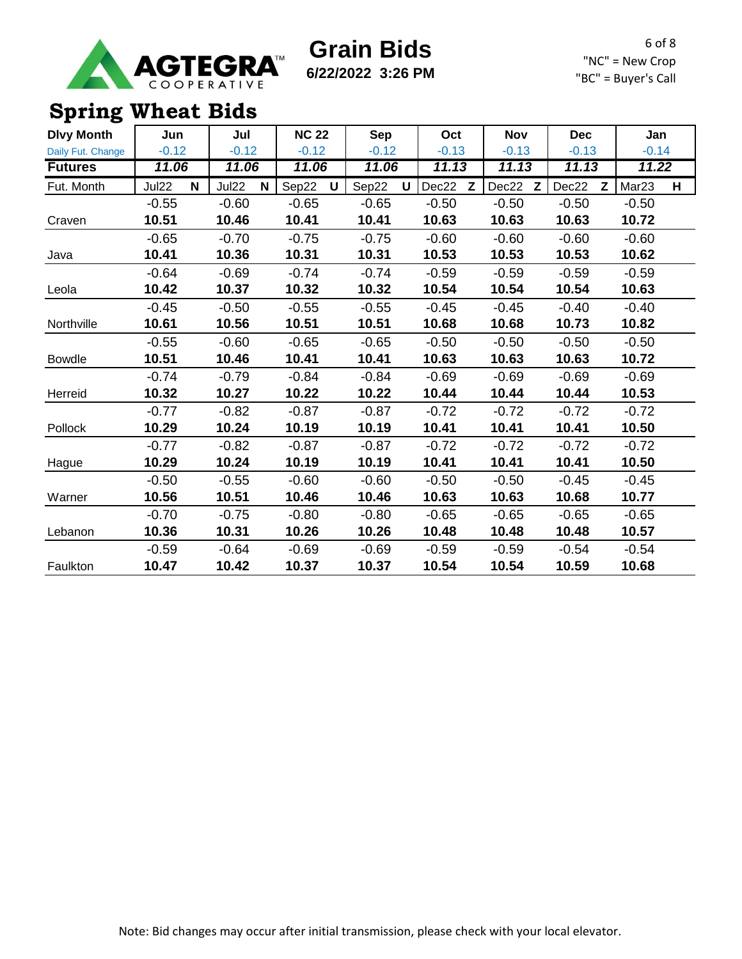

**6/22/2022 3:26 PM**

6 of 8 "NC" = New Crop "BC" = Buyer's Call

### **Spring Wheat Bids**

| <b>Dlvy Month</b> | Jun        | Jul        | <b>NC 22</b> | Sep        | Oct        | <b>Nov</b> | <b>Dec</b> | Jan                    |
|-------------------|------------|------------|--------------|------------|------------|------------|------------|------------------------|
| Daily Fut. Change | $-0.12$    | $-0.12$    | $-0.12$      | $-0.12$    | $-0.13$    | $-0.13$    | $-0.13$    | $-0.14$                |
| <b>Futures</b>    | 11.06      | 11.06      | 11.06        | 11.06      | 11.13      | 11.13      | 11.13      | 11.22                  |
| Fut. Month        | Jul22<br>N | Jul22<br>N | Sep22<br>U   | Sep22<br>U | Dec22<br>Z | Dec22<br>Z | Dec22<br>Z | Mar <sub>23</sub><br>н |
|                   | $-0.55$    | $-0.60$    | $-0.65$      | $-0.65$    | $-0.50$    | $-0.50$    | $-0.50$    | $-0.50$                |
| Craven            | 10.51      | 10.46      | 10.41        | 10.41      | 10.63      | 10.63      | 10.63      | 10.72                  |
|                   | $-0.65$    | $-0.70$    | $-0.75$      | $-0.75$    | $-0.60$    | $-0.60$    | $-0.60$    | $-0.60$                |
| Java              | 10.41      | 10.36      | 10.31        | 10.31      | 10.53      | 10.53      | 10.53      | 10.62                  |
|                   | $-0.64$    | $-0.69$    | $-0.74$      | $-0.74$    | $-0.59$    | $-0.59$    | $-0.59$    | $-0.59$                |
| Leola             | 10.42      | 10.37      | 10.32        | 10.32      | 10.54      | 10.54      | 10.54      | 10.63                  |
|                   | $-0.45$    | $-0.50$    | $-0.55$      | $-0.55$    | $-0.45$    | $-0.45$    | $-0.40$    | $-0.40$                |
| Northville        | 10.61      | 10.56      | 10.51        | 10.51      | 10.68      | 10.68      | 10.73      | 10.82                  |
|                   | $-0.55$    | $-0.60$    | $-0.65$      | $-0.65$    | $-0.50$    | $-0.50$    | $-0.50$    | $-0.50$                |
| <b>Bowdle</b>     | 10.51      | 10.46      | 10.41        | 10.41      | 10.63      | 10.63      | 10.63      | 10.72                  |
|                   | $-0.74$    | $-0.79$    | $-0.84$      | $-0.84$    | $-0.69$    | $-0.69$    | $-0.69$    | $-0.69$                |
| Herreid           | 10.32      | 10.27      | 10.22        | 10.22      | 10.44      | 10.44      | 10.44      | 10.53                  |
|                   | $-0.77$    | $-0.82$    | $-0.87$      | $-0.87$    | $-0.72$    | $-0.72$    | $-0.72$    | $-0.72$                |
| Pollock           | 10.29      | 10.24      | 10.19        | 10.19      | 10.41      | 10.41      | 10.41      | 10.50                  |
|                   | $-0.77$    | $-0.82$    | $-0.87$      | $-0.87$    | $-0.72$    | $-0.72$    | $-0.72$    | $-0.72$                |
| Hague             | 10.29      | 10.24      | 10.19        | 10.19      | 10.41      | 10.41      | 10.41      | 10.50                  |
|                   | $-0.50$    | $-0.55$    | $-0.60$      | $-0.60$    | $-0.50$    | $-0.50$    | $-0.45$    | $-0.45$                |
| Warner            | 10.56      | 10.51      | 10.46        | 10.46      | 10.63      | 10.63      | 10.68      | 10.77                  |
|                   | $-0.70$    | $-0.75$    | $-0.80$      | $-0.80$    | $-0.65$    | $-0.65$    | $-0.65$    | $-0.65$                |
| Lebanon           | 10.36      | 10.31      | 10.26        | 10.26      | 10.48      | 10.48      | 10.48      | 10.57                  |
|                   | $-0.59$    | $-0.64$    | $-0.69$      | $-0.69$    | $-0.59$    | $-0.59$    | $-0.54$    | $-0.54$                |
| Faulkton          | 10.47      | 10.42      | 10.37        | 10.37      | 10.54      | 10.54      | 10.59      | 10.68                  |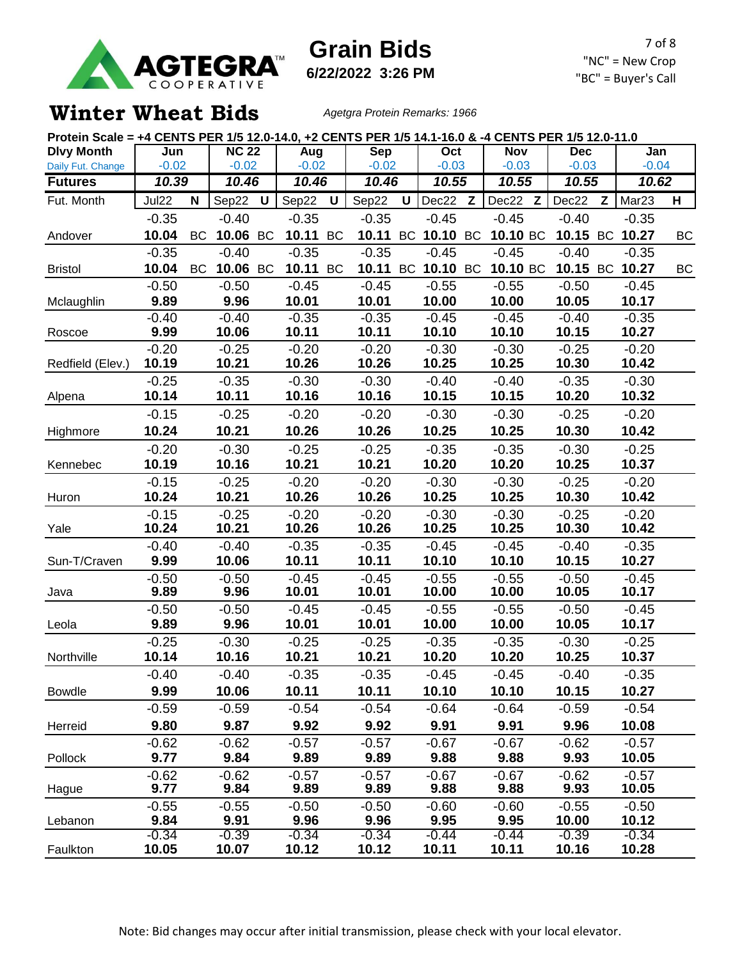

**6/22/2022 3:26 PM**

7 of 8 "NC" = New Crop "BC" = Buyer's Call

#### **Winter Wheat Bids** *Agetgra Protein Remarks: 1966*

| Protein Scale = +4 CENTS PER 1/5 12.0-14.0, +2 CENTS PER 1/5 14.1-16.0 & -4 CENTS PER 1/5 12.0-11.0 |                  |           |                  |   |                  |    |                  |              |                   |              |                  |                  |   |                   |    |
|-----------------------------------------------------------------------------------------------------|------------------|-----------|------------------|---|------------------|----|------------------|--------------|-------------------|--------------|------------------|------------------|---|-------------------|----|
| <b>Dlvy Month</b>                                                                                   | Jun              |           | <b>NC 22</b>     |   | Aug              |    | <b>Sep</b>       |              | Oct               |              | <b>Nov</b>       | <b>Dec</b>       |   | Jan               |    |
| Daily Fut. Change                                                                                   | $-0.02$          |           | $-0.02$          |   | $-0.02$          |    | $-0.02$          |              | $-0.03$           |              | $-0.03$          | $-0.03$          |   | $-0.04$           |    |
| <b>Futures</b>                                                                                      | 10.39            |           | 10.46            |   | 10.46            |    | 10.46            |              | 10.55             |              | 10.55            | 10.55            |   | 10.62             |    |
| Fut. Month                                                                                          | Jul22            | N         | Sep22            | U | Sep22            | U  | Sep22            | $\mathsf{U}$ | Dec22             | $\mathsf{Z}$ | Dec22 Z          | Dec22            | Z | Mar <sub>23</sub> | н  |
|                                                                                                     | $-0.35$          |           | $-0.40$          |   | $-0.35$          |    | $-0.35$          |              | $-0.45$           |              | $-0.45$          | $-0.40$          |   | $-0.35$           |    |
| Andover                                                                                             | 10.04            | BC        | 10.06 BC         |   | 10.11            | BC | 10.11            |              | BC 10.10 BC       |              | 10.10 BC         |                  |   | 10.15 BC 10.27    | ВC |
|                                                                                                     | $-0.35$          |           | $-0.40$          |   | $-0.35$          |    | $-0.35$          |              | $-0.45$           |              | $-0.45$          | $-0.40$          |   | $-0.35$           |    |
| <b>Bristol</b>                                                                                      | 10.04            | <b>BC</b> | 10.06 BC         |   | 10.11 BC         |    |                  |              | 10.11 BC 10.10 BC |              | 10.10 BC         |                  |   | 10.15 BC 10.27    | BC |
|                                                                                                     | $-0.50$          |           | $-0.50$          |   | $-0.45$          |    | $-0.45$          |              | $-0.55$           |              | $-0.55$          | $-0.50$          |   | $-0.45$           |    |
| Mclaughlin                                                                                          | 9.89             |           | 9.96             |   | 10.01            |    | 10.01            |              | 10.00             |              | 10.00            | 10.05            |   | 10.17             |    |
|                                                                                                     | $-0.40$          |           | $-0.40$          |   | $-0.35$          |    | $-0.35$          |              | $-0.45$           |              | $-0.45$          | $-0.40$          |   | $-0.35$           |    |
| Roscoe                                                                                              | 9.99             |           | 10.06            |   | 10.11            |    | 10.11            |              | 10.10             |              | 10.10            | 10.15            |   | 10.27             |    |
|                                                                                                     | $-0.20$          |           | $-0.25$          |   | $-0.20$          |    | $-0.20$          |              | $-0.30$           |              | $-0.30$          | $-0.25$          |   | $-0.20$           |    |
| Redfield (Elev.)                                                                                    | 10.19            |           | 10.21            |   | 10.26            |    | 10.26            |              | 10.25             |              | 10.25            | 10.30            |   | 10.42             |    |
|                                                                                                     | $-0.25$<br>10.14 |           | $-0.35$<br>10.11 |   | $-0.30$<br>10.16 |    | $-0.30$<br>10.16 |              | $-0.40$<br>10.15  |              | $-0.40$<br>10.15 | $-0.35$<br>10.20 |   | $-0.30$<br>10.32  |    |
| Alpena                                                                                              |                  |           |                  |   |                  |    |                  |              |                   |              |                  |                  |   |                   |    |
|                                                                                                     | $-0.15$          |           | $-0.25$          |   | $-0.20$          |    | $-0.20$          |              | $-0.30$           |              | $-0.30$          | $-0.25$          |   | $-0.20$           |    |
| Highmore                                                                                            | 10.24            |           | 10.21            |   | 10.26            |    | 10.26            |              | 10.25             |              | 10.25            | 10.30            |   | 10.42             |    |
|                                                                                                     | $-0.20$          |           | $-0.30$          |   | $-0.25$          |    | $-0.25$          |              | $-0.35$           |              | $-0.35$          | $-0.30$          |   | $-0.25$<br>10.37  |    |
| Kennebec                                                                                            | 10.19            |           | 10.16            |   | 10.21            |    | 10.21            |              | 10.20             |              | 10.20            | 10.25            |   |                   |    |
| Huron                                                                                               | $-0.15$<br>10.24 |           | $-0.25$<br>10.21 |   | $-0.20$<br>10.26 |    | $-0.20$<br>10.26 |              | $-0.30$<br>10.25  |              | $-0.30$<br>10.25 | $-0.25$<br>10.30 |   | $-0.20$<br>10.42  |    |
|                                                                                                     | $-0.15$          |           | $-0.25$          |   | $-0.20$          |    | $-0.20$          |              | $-0.30$           |              | $-0.30$          | $-0.25$          |   | $-0.20$           |    |
| Yale                                                                                                | 10.24            |           | 10.21            |   | 10.26            |    | 10.26            |              | 10.25             |              | 10.25            | 10.30            |   | 10.42             |    |
|                                                                                                     | $-0.40$          |           | $-0.40$          |   | $-0.35$          |    | $-0.35$          |              | $-0.45$           |              | $-0.45$          | $-0.40$          |   | $-0.35$           |    |
| Sun-T/Craven                                                                                        | 9.99             |           | 10.06            |   | 10.11            |    | 10.11            |              | 10.10             |              | 10.10            | 10.15            |   | 10.27             |    |
|                                                                                                     | $-0.50$          |           | $-0.50$          |   | $-0.45$          |    | $-0.45$          |              | $-0.55$           |              | $-0.55$          | $-0.50$          |   | $-0.45$           |    |
| Java                                                                                                | 9.89             |           | 9.96             |   | 10.01            |    | 10.01            |              | 10.00             |              | 10.00            | 10.05            |   | 10.17             |    |
|                                                                                                     | $-0.50$          |           | $-0.50$          |   | $-0.45$          |    | $-0.45$          |              | $-0.55$           |              | $-0.55$          | $-0.50$          |   | $-0.45$           |    |
| Leola                                                                                               | 9.89             |           | 9.96             |   | 10.01            |    | 10.01            |              | 10.00             |              | 10.00            | 10.05            |   | 10.17             |    |
|                                                                                                     | $-0.25$          |           | $-0.30$          |   | $-0.25$          |    | $-0.25$          |              | $-0.35$           |              | $-0.35$          | $-0.30$          |   | $-0.25$           |    |
| Northville                                                                                          | 10.14            |           | 10.16            |   | 10.21            |    | 10.21            |              | 10.20             |              | 10.20            | 10.25            |   | 10.37             |    |
|                                                                                                     | $-0.40$          |           | $-0.40$          |   | $-0.35$          |    | $-0.35$          |              | $-0.45$           |              | $-0.45$          | $-0.40$          |   | $-0.35$           |    |
| <b>Bowdle</b>                                                                                       | 9.99             |           | 10.06            |   | 10.11            |    | 10.11            |              | 10.10             |              | 10.10            | 10.15            |   | 10.27             |    |
|                                                                                                     | $-0.59$          |           | $-0.59$          |   | $-0.54$          |    | $-0.54$          |              | $-0.64$           |              | $-0.64$          | $-0.59$          |   | $-0.54$           |    |
| Herreid                                                                                             | 9.80             |           | 9.87             |   | 9.92             |    | 9.92             |              | 9.91              |              | 9.91             | 9.96             |   | 10.08             |    |
|                                                                                                     | $-0.62$          |           | $-0.62$          |   | $-0.57$          |    | $-0.57$          |              | $-0.67$           |              | $-0.67$          | $-0.62$          |   | $-0.57$           |    |
| Pollock                                                                                             | 9.77             |           | 9.84             |   | 9.89             |    | 9.89             |              | 9.88              |              | 9.88             | 9.93             |   | 10.05             |    |
|                                                                                                     | $-0.62$          |           | $-0.62$          |   | $-0.57$          |    | $-0.57$          |              | $-0.67$           |              | $-0.67$          | $-0.62$          |   | $-0.57$           |    |
| Hague                                                                                               | 9.77             |           | 9.84             |   | 9.89             |    | 9.89             |              | 9.88              |              | 9.88             | 9.93             |   | 10.05             |    |
|                                                                                                     | $-0.55$<br>9.84  |           | $-0.55$          |   | $-0.50$<br>9.96  |    | $-0.50$<br>9.96  |              | $-0.60$<br>9.95   |              | $-0.60$<br>9.95  | $-0.55$<br>10.00 |   | $-0.50$<br>10.12  |    |
| Lebanon                                                                                             | $-0.34$          |           | 9.91<br>$-0.39$  |   | $-0.34$          |    | $-0.34$          |              | $-0.44$           |              | $-0.44$          | $-0.39$          |   | $-0.34$           |    |
| Faulkton                                                                                            | 10.05            |           | 10.07            |   | 10.12            |    | 10.12            |              | 10.11             |              | 10.11            | 10.16            |   | 10.28             |    |